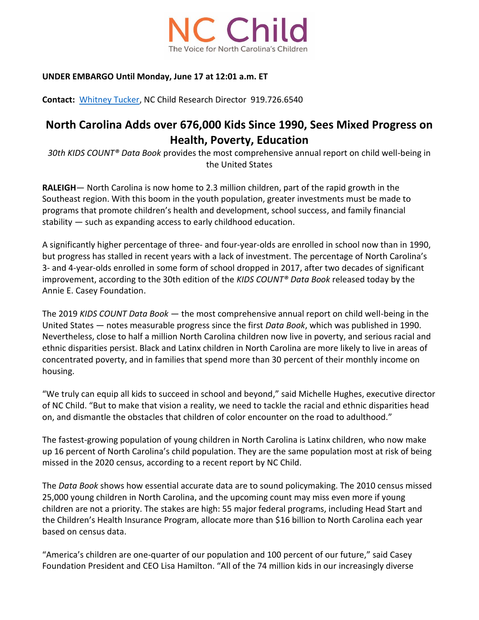

### **UNDER EMBARGO Until Monday, June 17 at 12:01 a.m. ET**

**Contact:** [Whitney Tucker,](mailto:whitney@ncchild.org?subject=AECF%20Data%20Book%20::%20Media%20Inquiry) NC Child Research Director 919.726.6540

# **North Carolina Adds over 676,000 Kids Since 1990, Sees Mixed Progress on Health, Poverty, Education**

*30th KIDS COUNT® Data Book* provides the most comprehensive annual report on child well-being in the United States

**RALEIGH**— North Carolina is now home to 2.3 million children, part of the rapid growth in the Southeast region. With this boom in the youth population, greater investments must be made to programs that promote children's health and development, school success, and family financial stability — such as expanding access to early childhood education.

A significantly higher percentage of three- and four-year-olds are enrolled in school now than in 1990, but progress has stalled in recent years with a lack of investment. The percentage of North Carolina's 3- and 4-year-olds enrolled in some form of school dropped in 2017, after two decades of significant improvement, according to the 30th edition of the *KIDS COUNT® Data Book* released today by the Annie E. Casey Foundation.

The 2019 *KIDS COUNT Data Book* — the most comprehensive annual report on child well-being in the United States — notes measurable progress since the first *Data Book*, which was published in 1990. Nevertheless, close to half a million North Carolina children now live in poverty, and serious racial and ethnic disparities persist. Black and Latinx children in North Carolina are more likely to live in areas of concentrated poverty, and in families that spend more than 30 percent of their monthly income on housing.

"We truly can equip all kids to succeed in school and beyond," said Michelle Hughes, executive director of NC Child. "But to make that vision a reality, we need to tackle the racial and ethnic disparities head on, and dismantle the obstacles that children of color encounter on the road to adulthood."

The fastest-growing population of young children in North Carolina is Latinx children, who now make up 16 percent of North Carolina's child population. They are the same population most at risk of being missed in the 2020 census, according to a recent report by NC Child.

The *Data Book* shows how essential accurate data are to sound policymaking. The 2010 census missed 25,000 young children in North Carolina, and the upcoming count may miss even more if young children are not a priority. The stakes are high: 55 major federal programs, including Head Start and the Children's Health Insurance Program, allocate more than \$16 billion to North Carolina each year based on census data.

"America's children are one-quarter of our population and 100 percent of our future," said Casey Foundation President and CEO Lisa Hamilton. "All of the 74 million kids in our increasingly diverse